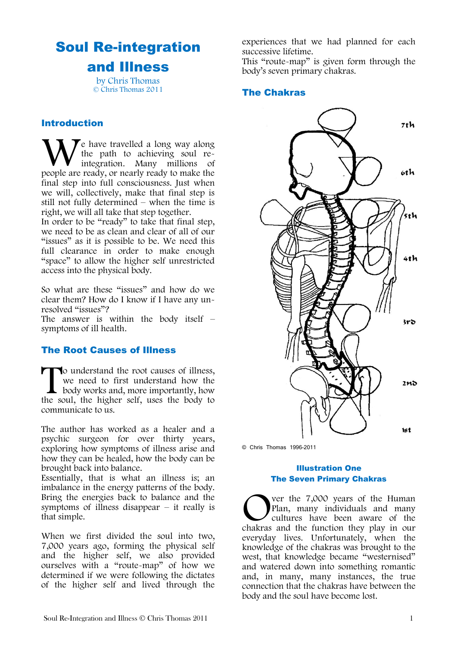# Soul Re-integration and Illness

by Chris Thomas © Chris Thomas 2011

#### Introduction

 $\blacktriangledown$ e have travelled a long way along the path to achieving soul reintegration. Many millions of We have travelled a long way along<br>the path to achieving soul re-<br>people are ready, or nearly ready to make the final step into full consciousness. Just when we will, collectively, make that final step is still not fully determined – when the time is right, we will all take that step together.

In order to be "ready" to take that final step, we need to be as clean and clear of all of our "issues" as it is possible to be. We need this full clearance in order to make enough "space" to allow the higher self unrestricted access into the physical body.

So what are these "issues" and how do we clear them? How do I know if I have any unresolved "issues"?

The answer is within the body itself  $$ symptoms of ill health.

## The Root Causes of Illness

o understand the root causes of illness, we need to first understand how the body works and, more importantly, how the soul, the higher self, uses the body to communicate to us.  $\prod_{\text{the so}}$ 

The author has worked as a healer and a psychic surgeon for over thirty years, exploring how symptoms of illness arise and how they can be healed, how the body can be brought back into balance.

Essentially, that is what an illness is; an imbalance in the energy patterns of the body. Bring the energies back to balance and the symptoms of illness disappear  $-$  it really is that simple.

When we first divided the soul into two, 7,000 years ago, forming the physical self and the higher self, we also provided ourselves with a "route-map" of how we determined if we were following the dictates of the higher self and lived through the experiences that we had planned for each successive lifetime.

This "route-map" is given form through the body's seven primary chakras.

### The Chakras



© Chris Thomas 1996-2011

#### Illustration One The Seven Primary Chakras

ver the 7,000 years of the Human Plan, many individuals and many cultures have been aware of the Ver the 7,000 years of the Human<br>Plan, many individuals and many<br>cultures have been aware of the<br>chakras and the function they play in our everyday lives. Unfortunately, when the knowledge of the chakras was brought to the west, that knowledge became "westernised" and watered down into something romantic and, in many, many instances, the true connection that the chakras have between the body and the soul have become lost.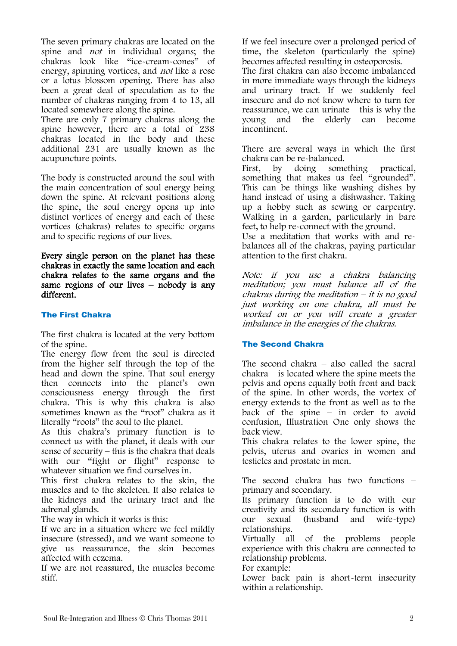The seven primary chakras are located on the spine and *not* in individual organs; the chakras look like "ice-cream-cones" of energy, spinning vortices, and not like a rose or a lotus blossom opening. There has also been a great deal of speculation as to the number of chakras ranging from 4 to 13, all located somewhere along the spine.

There are only 7 primary chakras along the spine however, there are a total of 238 chakras located in the body and these additional 231 are usually known as the acupuncture points.

The body is constructed around the soul with the main concentration of soul energy being down the spine. At relevant positions along the spine, the soul energy opens up into distinct vortices of energy and each of these vortices (chakras) relates to specific organs and to specific regions of our lives.

Every single person on the planet has these chakras in exactly the same location and each chakra relates to the same organs and the same regions of our lives – nobody is any different.

#### The First Chakra

The first chakra is located at the very bottom of the spine.

The energy flow from the soul is directed from the higher self through the top of the head and down the spine. That soul energy then connects into the planet's own consciousness energy through the first chakra. This is why this chakra is also sometimes known as the "root" chakra as it literally "roots" the soul to the planet.

As this chakra's primary function is to connect us with the planet, it deals with our sense of security – this is the chakra that deals with our "fight or flight" response to whatever situation we find ourselves in.

This first chakra relates to the skin, the muscles and to the skeleton. It also relates to the kidneys and the urinary tract and the adrenal glands.

The way in which it works is this:

If we are in a situation where we feel mildly insecure (stressed), and we want someone to give us reassurance, the skin becomes affected with eczema.

If we are not reassured, the muscles become stiff.

If we feel insecure over a prolonged period of time, the skeleton (particularly the spine) becomes affected resulting in osteoporosis.

The first chakra can also become imbalanced in more immediate ways through the kidneys and urinary tract. If we suddenly feel insecure and do not know where to turn for reassurance, we can urinate – this is why the young and the elderly can become incontinent.

There are several ways in which the first chakra can be re-balanced.

First, by doing something practical, something that makes us feel "grounded". This can be things like washing dishes by hand instead of using a dishwasher. Taking up a hobby such as sewing or carpentry. Walking in a garden, particularly in bare feet, to help re-connect with the ground.

Use a meditation that works with and rebalances all of the chakras, paying particular attention to the first chakra.

Note: if you use a chakra balancing meditation; you must balance all of the  $chakras$  during the meditation  $-$  it is no good just working on one chakra, all must be worked on or you will create a greater imbalance in the energies of the chakras.

## The Second Chakra

The second chakra – also called the sacral chakra – is located where the spine meets the pelvis and opens equally both front and back of the spine. In other words, the vortex of energy extends to the front as well as to the back of the spine – in order to avoid confusion, Illustration One only shows the back view.

This chakra relates to the lower spine, the pelvis, uterus and ovaries in women and testicles and prostate in men.

The second chakra has two functions – primary and secondary.

Its primary function is to do with our creativity and its secondary function is with our sexual (husband and wife-type) relationships.

Virtually all of the problems people experience with this chakra are connected to relationship problems.

For example:

Lower back pain is short-term insecurity within a relationship.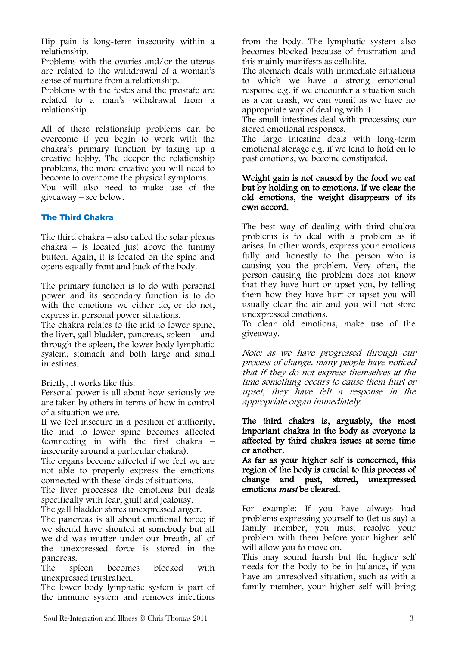Hip pain is long-term insecurity within a relationship.

Problems with the ovaries and/or the uterus are related to the withdrawal of a woman's sense of nurture from a relationship.

Problems with the testes and the prostate are related to a man's withdrawal from a relationship.

All of these relationship problems can be overcome if you begin to work with the chakra's primary function by taking up a creative hobby. The deeper the relationship problems, the more creative you will need to become to overcome the physical symptoms. You will also need to make use of the giveaway – see below.

### The Third Chakra

The third chakra  $-$  also called the solar plexus  $chakra - is located just above the tummy$ button. Again, it is located on the spine and opens equally front and back of the body.

The primary function is to do with personal power and its secondary function is to do with the emotions we either do, or do not, express in personal power situations.

The chakra relates to the mid to lower spine, the liver, gall bladder, pancreas, spleen – and through the spleen, the lower body lymphatic system, stomach and both large and small intestines.

Briefly, it works like this:

Personal power is all about how seriously we are taken by others in terms of how in control of a situation we are.

If we feel insecure in a position of authority, the mid to lower spine becomes affected (connecting in with the first chakra – insecurity around a particular chakra).

The organs become affected if we feel we are not able to properly express the emotions connected with these kinds of situations.

The liver processes the emotions but deals specifically with fear, guilt and jealousy.

The gall bladder stores unexpressed anger.

The pancreas is all about emotional force; if we should have shouted at somebody but all we did was mutter under our breath, all of the unexpressed force is stored in the pancreas.

The spleen becomes blocked with unexpressed frustration.

The lower body lymphatic system is part of the immune system and removes infections from the body. The lymphatic system also becomes blocked because of frustration and this mainly manifests as cellulite.

The stomach deals with immediate situations to which we have a strong emotional response e.g. if we encounter a situation such as a car crash, we can vomit as we have no appropriate way of dealing with it.

The small intestines deal with processing our stored emotional responses.

The large intestine deals with long-term emotional storage e.g. if we tend to hold on to past emotions, we become constipated.

#### Weight gain is not caused by the food we eat but by holding on to emotions. If we clear the old emotions, the weight disappears of its own accord.

The best way of dealing with third chakra problems is to deal with a problem as it arises. In other words, express your emotions fully and honestly to the person who is causing you the problem. Very often, the person causing the problem does not know that they have hurt or upset you, by telling them how they have hurt or upset you will usually clear the air and you will not store unexpressed emotions.

To clear old emotions, make use of the giveaway.

Note: as we have progressed through our process of change, many people have noticed that if they do not express themselves at the time something occurs to cause them hurt or upset, they have felt a response in the appropriate organ immediately.

#### The third chakra is, arguably, the most important chakra in the body as everyone is affected by third chakra issues at some time or another.

As far as your higher self is concerned, this region of the body is crucial to this process of change and past, stored, unexpressed emotions *must* be cleared.

For example: If you have always had problems expressing yourself to (let us say) a family member, you must resolve your problem with them before your higher self will allow you to move on.

This may sound harsh but the higher self needs for the body to be in balance, if you have an unresolved situation, such as with a family member, your higher self will bring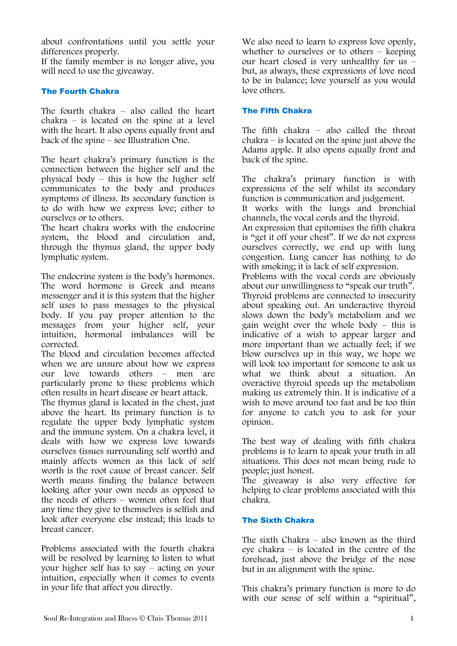about confrontations until you settle your differences properly.

If the family member is no longer alive, you will need to use the giveaway.

#### The Fourth Chakra

The fourth chakra – also called the heart  $chakra - is located on the spine at a level$ with the heart. It also opens equally front and back of the spine – see Illustration One.

The heart chakra's primary function is the connection between the higher self and the physical body – this is how the higher self communicates to the body and produces symptoms of illness. Its secondary function is to do with how we express love; either to ourselves or to others.

The heart chakra works with the endocrine system, the blood and circulation and, through the thymus gland, the upper body lymphatic system.

The endocrine system is the body's hormones. The word hormone is Greek and means messenger and it is this system that the higher self uses to pass messages to the physical body. If you pay proper attention to the messages from your higher self, your intuition, hormonal imbalances will be corrected.

The blood and circulation becomes affected when we are unsure about how we express our love towards others – men are particularly prone to these problems which often results in heart disease or heart attack.

The thymus gland is located in the chest, just above the heart. Its primary function is to regulate the upper body lymphatic system and the immune system. On a chakra level, it deals with how we express love towards ourselves (issues surrounding self worth) and mainly affects women as this lack of self worth is the root cause of breast cancer. Self worth means finding the balance between looking after your own needs as opposed to the needs of others – women often feel that any time they give to themselves is selfish and look after everyone else instead; this leads to breast cancer.

Problems associated with the fourth chakra will be resolved by learning to listen to what your higher self has to say – acting on your intuition, especially when it comes to events in your life that affect you directly.

We also need to learn to express love openly, whether to ourselves or to others – keeping our heart closed is very unhealthy for us – but, as always, these expressions of love need to be in balance; love yourself as you would love others.

#### The Fifth Chakra

The fifth chakra – also called the throat chakra – is located on the spine just above the Adams apple. It also opens equally front and back of the spine.

The chakra's primary function is with expressions of the self whilst its secondary function is communication and judgement. It works with the lungs and bronchial

channels, the vocal cords and the thyroid.

An expression that epitomises the fifth chakra is "get it off your chest". If we do not express ourselves correctly, we end up with lung congestion. Lung cancer has nothing to do with smoking; it is lack of self expression.

Problems with the vocal cords are obviously about our unwillingness to "speak our truth". Thyroid problems are connected to insecurity about speaking out. An underactive thyroid slows down the body's metabolism and we gain weight over the whole body – this is indicative of a wish to appear larger and more important than we actually feel; if we blow ourselves up in this way, we hope we will look too important for someone to ask us what we think about a situation. An overactive thyroid speeds up the metabolism making us extremely thin. It is indicative of a wish to move around too fast and be too thin for anyone to catch you to ask for your opinion.

The best way of dealing with fifth chakra problems is to learn to speak your truth in all situations. This does not mean being rude to people; just honest.

The giveaway is also very effective for helping to clear problems associated with this chakra.

#### The Sixth Chakra

The sixth Chakra – also known as the third eye chakra – is located in the centre of the forehead, just above the bridge of the nose but in an alignment with the spine.

This chakra's primary function is more to do with our sense of self within a "spiritual",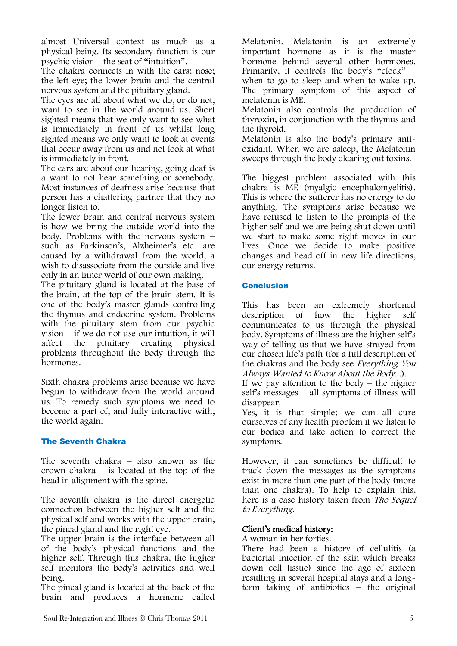almost Universal context as much as a physical being. Its secondary function is our psychic vision – the seat of "intuition".

The chakra connects in with the ears; nose; the left eye; the lower brain and the central nervous system and the pituitary gland.

The eyes are all about what we do, or do not, want to see in the world around us. Short sighted means that we only want to see what is immediately in front of us whilst long sighted means we only want to look at events that occur away from us and not look at what is immediately in front.

The ears are about our hearing, going deaf is a want to not hear something or somebody. Most instances of deafness arise because that person has a chattering partner that they no longer listen to.

The lower brain and central nervous system is how we bring the outside world into the body. Problems with the nervous system – such as Parkinson's, Alzheimer's etc. are caused by a withdrawal from the world, a wish to disassociate from the outside and live only in an inner world of our own making.

The pituitary gland is located at the base of the brain, at the top of the brain stem. It is one of the body's master glands controlling the thymus and endocrine system. Problems with the pituitary stem from our psychic vision – if we do not use our intuition, it will<br>affect the pituitary creating physical pituitary creating physical problems throughout the body through the hormones.

Sixth chakra problems arise because we have begun to withdraw from the world around us. To remedy such symptoms we need to become a part of, and fully interactive with, the world again.

#### The Seventh Chakra

The seventh chakra – also known as the crown chakra – is located at the top of the head in alignment with the spine.

The seventh chakra is the direct energetic connection between the higher self and the physical self and works with the upper brain, the pineal gland and the right eye.

The upper brain is the interface between all of the body's physical functions and the higher self. Through this chakra, the higher self monitors the body's activities and well being.

The pineal gland is located at the back of the brain and produces a hormone called

Melatonin. Melatonin is an extremely important hormone as it is the master hormone behind several other hormones. Primarily, it controls the body's "clock" – when to go to sleep and when to wake up. The primary symptom of this aspect of melatonin is ME.

Melatonin also controls the production of thyroxin, in conjunction with the thymus and the thyroid.

Melatonin is also the body's primary antioxidant. When we are asleep, the Melatonin sweeps through the body clearing out toxins.

The biggest problem associated with this chakra is ME (myalgic encephalomyelitis). This is where the sufferer has no energy to do anything. The symptoms arise because we have refused to listen to the prompts of the higher self and we are being shut down until we start to make some right moves in our lives. Once we decide to make positive changes and head off in new life directions, our energy returns.

#### Conclusion

This has been an extremely shortened description of how the higher self communicates to us through the physical body. Symptoms of illness are the higher self's way of telling us that we have strayed from our chosen life's path (for a full description of the chakras and the body see Everything You Always Wanted to Know About the Body...).

If we pay attention to the body  $-$  the higher self's messages – all symptoms of illness will disappear.

Yes, it is that simple; we can all cure ourselves of any health problem if we listen to our bodies and take action to correct the symptoms.

However, it can sometimes be difficult to track down the messages as the symptoms exist in more than one part of the body (more than one chakra). To help to explain this, here is a case history taken from The Sequel to Everything.

## Client's medical history:

A woman in her forties.

There had been a history of cellulitis (a bacterial infection of the skin which breaks down cell tissue) since the age of sixteen resulting in several hospital stays and a longterm taking of antibiotics – the original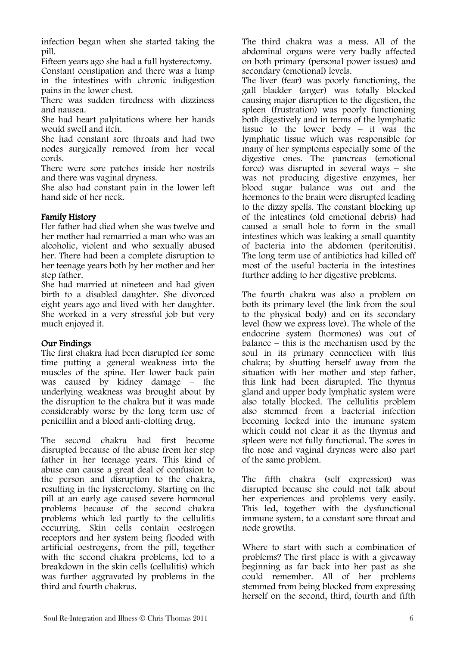infection began when she started taking the pill.

Fifteen years ago she had a full hysterectomy.

Constant constipation and there was a lump in the intestines with chronic indigestion pains in the lower chest.

There was sudden tiredness with dizziness and nausea.

She had heart palpitations where her hands would swell and itch.

She had constant sore throats and had two nodes surgically removed from her vocal cords.

There were sore patches inside her nostrils and there was vaginal dryness.

She also had constant pain in the lower left hand side of her neck.

### Family History

Her father had died when she was twelve and her mother had remarried a man who was an alcoholic, violent and who sexually abused her. There had been a complete disruption to her teenage years both by her mother and her step father.

She had married at nineteen and had given birth to a disabled daughter. She divorced eight years ago and lived with her daughter. She worked in a very stressful job but very much enjoyed it.

#### Our Findings

The first chakra had been disrupted for some time putting a general weakness into the muscles of the spine. Her lower back pain was caused by kidney damage – the underlying weakness was brought about by the disruption to the chakra but it was made considerably worse by the long term use of penicillin and a blood anti-clotting drug.

The second chakra had first become disrupted because of the abuse from her step father in her teenage years. This kind of abuse can cause a great deal of confusion to the person and disruption to the chakra, resulting in the hysterectomy. Starting on the pill at an early age caused severe hormonal problems because of the second chakra problems which led partly to the cellulitis occurring. Skin cells contain oestrogen receptors and her system being flooded with artificial oestrogens, from the pill, together with the second chakra problems, led to a breakdown in the skin cells (cellulitis) which was further aggravated by problems in the third and fourth chakras.

The third chakra was a mess. All of the abdominal organs were very badly affected on both primary (personal power issues) and secondary (emotional) levels.

The liver (fear) was poorly functioning, the gall bladder (anger) was totally blocked causing major disruption to the digestion, the spleen (frustration) was poorly functioning both digestively and in terms of the lymphatic tissue to the lower body – it was the lymphatic tissue which was responsible for many of her symptoms especially some of the digestive ones. The pancreas (emotional force) was disrupted in several ways – she was not producing digestive enzymes, her blood sugar balance was out and the hormones to the brain were disrupted leading to the dizzy spells. The constant blocking up of the intestines (old emotional debris) had caused a small hole to form in the small intestines which was leaking a small quantity of bacteria into the abdomen (peritonitis). The long term use of antibiotics had killed off most of the useful bacteria in the intestines further adding to her digestive problems.

The fourth chakra was also a problem on both its primary level (the link from the soul to the physical body) and on its secondary level (how we express love). The whole of the endocrine system (hormones) was out of balance – this is the mechanism used by the soul in its primary connection with this chakra; by shutting herself away from the situation with her mother and step father, this link had been disrupted. The thymus gland and upper body lymphatic system were also totally blocked. The cellulitis problem also stemmed from a bacterial infection becoming locked into the immune system which could not clear it as the thymus and spleen were not fully functional. The sores in the nose and vaginal dryness were also part of the same problem.

The fifth chakra (self expression) was disrupted because she could not talk about her experiences and problems very easily. This led, together with the dysfunctional immune system, to a constant sore throat and node growths.

Where to start with such a combination of problems? The first place is with a giveaway beginning as far back into her past as she could remember. All of her problems stemmed from being blocked from expressing herself on the second, third, fourth and fifth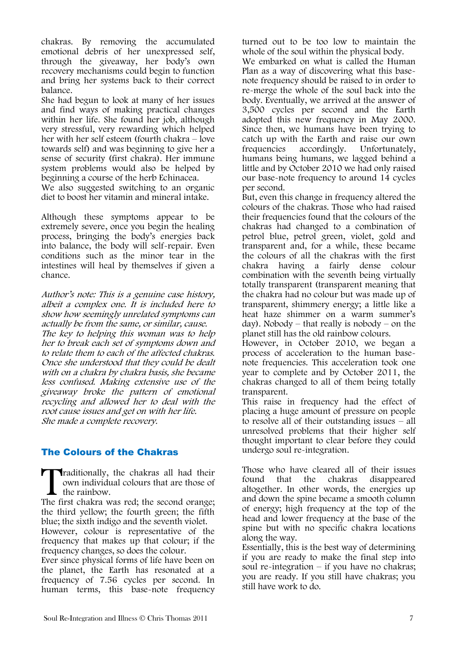chakras. By removing the accumulated emotional debris of her unexpressed self, through the giveaway, her body's own recovery mechanisms could begin to function and bring her systems back to their correct balance.

She had begun to look at many of her issues and find ways of making practical changes within her life. She found her job, although very stressful, very rewarding which helped her with her self esteem (fourth chakra – love towards self) and was beginning to give her a sense of security (first chakra). Her immune system problems would also be helped by beginning a course of the herb Echinacea. We also suggested switching to an organic

diet to boost her vitamin and mineral intake.

Although these symptoms appear to be extremely severe, once you begin the healing process, bringing the body's energies back into balance, the body will self-repair. Even conditions such as the minor tear in the intestines will heal by themselves if given a chance.

Author's note: This is a genuine case history, albeit a complex one. It is included here to show how seemingly unrelated symptoms can actually be from the same, or similar, cause. The key to helping this woman was to help her to break each set of symptoms down and to relate them to each of the affected chakras. Once she understood that they could be dealt with on a chakra by chakra basis, she became less confused. Making extensive use of the giveaway broke the pattern of emotional recycling and allowed her to deal with the root cause issues and get on with her life. She made a complete recovery.

## The Colours of the Chakras

raditionally, the chakras all had their own individual colours that are those of  $\blacksquare$  the rainbow. Traditionally, the chakras all had their<br>
own individual colours that are those of<br>
the rainbow.<br>
The first chakra was red; the second orange;

the third yellow; the fourth green; the fifth blue; the sixth indigo and the seventh violet.

However, colour is representative of the frequency that makes up that colour; if the frequency changes, so does the colour.

Ever since physical forms of life have been on the planet, the Earth has resonated at a frequency of 7.56 cycles per second. In human terms, this base-note frequency

turned out to be too low to maintain the whole of the soul within the physical body.

We embarked on what is called the Human Plan as a way of discovering what this basenote frequency should be raised to in order to re-merge the whole of the soul back into the body. Eventually, we arrived at the answer of 3,500 cycles per second and the Earth adopted this new frequency in May 2000. Since then, we humans have been trying to catch up with the Earth and raise our own frequencies accordingly. Unfortunately, humans being humans, we lagged behind a little and by October 2010 we had only raised our base-note frequency to around 14 cycles per second.

But, even this change in frequency altered the colours of the chakras. Those who had raised their frequencies found that the colours of the chakras had changed to a combination of petrol blue, petrol green, violet, gold and transparent and, for a while, these became the colours of all the chakras with the first chakra having a fairly dense colour combination with the seventh being virtually totally transparent (transparent meaning that the chakra had no colour but was made up of transparent, shimmery energy; a little like a heat haze shimmer on a warm summer's day). Nobody – that really is nobody – on the planet still has the old rainbow colours.

However, in October 2010, we began a process of acceleration to the human basenote frequencies. This acceleration took one year to complete and by October 2011, the chakras changed to all of them being totally transparent.

This raise in frequency had the effect of placing a huge amount of pressure on people to resolve all of their outstanding issues – all unresolved problems that their higher self thought important to clear before they could undergo soul re-integration.

Those who have cleared all of their issues found that the chakras disappeared altogether. In other words, the energies up and down the spine became a smooth column of energy; high frequency at the top of the head and lower frequency at the base of the spine but with no specific chakra locations along the way.

Essentially, this is the best way of determining if you are ready to make the final step into soul re-integration – if you have no chakras; you are ready. If you still have chakras; you still have work to do.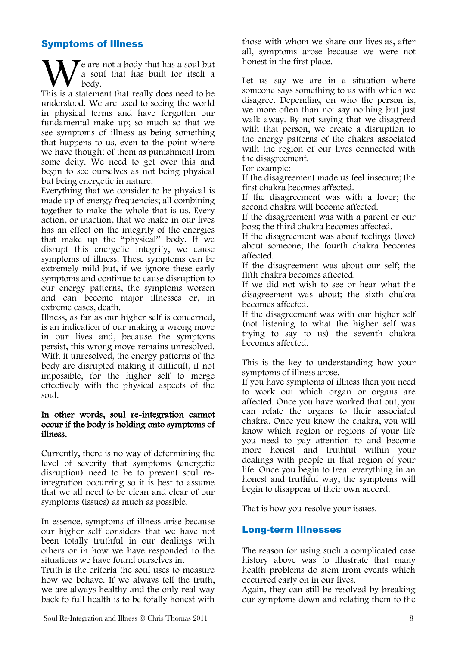## Symptoms of Illness

 $\mathbf{\Sigma}$  are not a body that has a soul but a soul that has built for itself a body. We are not a body that has a soul but<br>a soul that has built for itself a<br>This is a statement that really does need to be

understood. We are used to seeing the world in physical terms and have forgotten our fundamental make up; so much so that we see symptoms of illness as being something that happens to us, even to the point where we have thought of them as punishment from some deity. We need to get over this and begin to see ourselves as not being physical but being energetic in nature.

Everything that we consider to be physical is made up of energy frequencies; all combining together to make the whole that is us. Every action, or inaction, that we make in our lives has an effect on the integrity of the energies that make up the "physical" body. If we disrupt this energetic integrity, we cause symptoms of illness. These symptoms can be extremely mild but, if we ignore these early symptoms and continue to cause disruption to our energy patterns, the symptoms worsen and can become major illnesses or, in extreme cases, death.

Illness, as far as our higher self is concerned, is an indication of our making a wrong move in our lives and, because the symptoms persist, this wrong move remains unresolved. With it unresolved, the energy patterns of the body are disrupted making it difficult, if not impossible, for the higher self to merge effectively with the physical aspects of the soul.

#### In other words, soul re-integration cannot occur if the body is holding onto symptoms of illness.

Currently, there is no way of determining the level of severity that symptoms (energetic disruption) need to be to prevent soul reintegration occurring so it is best to assume that we all need to be clean and clear of our symptoms (issues) as much as possible.

In essence, symptoms of illness arise because our higher self considers that we have not been totally truthful in our dealings with others or in how we have responded to the situations we have found ourselves in.

Truth is the criteria the soul uses to measure how we behave. If we always tell the truth, we are always healthy and the only real way back to full health is to be totally honest with those with whom we share our lives as, after all, symptoms arose because we were not honest in the first place.

Let us say we are in a situation where someone says something to us with which we disagree. Depending on who the person is, we more often than not say nothing but just walk away. By not saying that we disagreed with that person, we create a disruption to the energy patterns of the chakra associated with the region of our lives connected with the disagreement.

For example:

If the disagreement made us feel insecure; the first chakra becomes affected.

If the disagreement was with a lover; the second chakra will become affected.

If the disagreement was with a parent or our boss; the third chakra becomes affected.

If the disagreement was about feelings (love) about someone; the fourth chakra becomes affected.

If the disagreement was about our self; the fifth chakra becomes affected.

If we did not wish to see or hear what the disagreement was about; the sixth chakra becomes affected.

If the disagreement was with our higher self (not listening to what the higher self was trying to say to us) the seventh chakra becomes affected.

This is the key to understanding how your symptoms of illness arose.

If you have symptoms of illness then you need to work out which organ or organs are affected. Once you have worked that out, you can relate the organs to their associated chakra. Once you know the chakra, you will know which region or regions of your life you need to pay attention to and become more honest and truthful within your dealings with people in that region of your life. Once you begin to treat everything in an honest and truthful way, the symptoms will begin to disappear of their own accord.

That is how you resolve your issues.

## Long-term Illnesses

The reason for using such a complicated case history above was to illustrate that many health problems do stem from events which occurred early on in our lives.

Again, they can still be resolved by breaking our symptoms down and relating them to the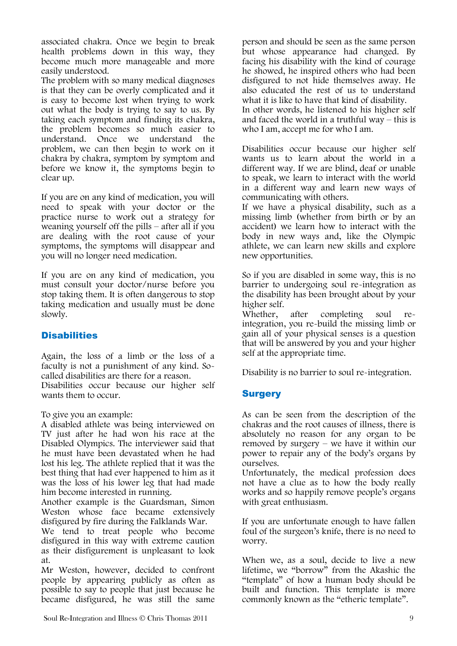associated chakra. Once we begin to break health problems down in this way, they become much more manageable and more easily understood.

The problem with so many medical diagnoses is that they can be overly complicated and it is easy to become lost when trying to work out what the body is trying to say to us. By taking each symptom and finding its chakra, the problem becomes so much easier to understand. Once we understand the problem, we can then begin to work on it chakra by chakra, symptom by symptom and before we know it, the symptoms begin to clear up.

If you are on any kind of medication, you will need to speak with your doctor or the practice nurse to work out a strategy for weaning yourself off the pills – after all if you are dealing with the root cause of your symptoms, the symptoms will disappear and you will no longer need medication.

If you are on any kind of medication, you must consult your doctor/nurse before you stop taking them. It is often dangerous to stop taking medication and usually must be done slowly.

## **Disabilities**

Again, the loss of a limb or the loss of a faculty is not a punishment of any kind. Socalled disabilities are there for a reason. Disabilities occur because our higher self wants them to occur.

To give you an example:

A disabled athlete was being interviewed on TV just after he had won his race at the Disabled Olympics. The interviewer said that he must have been devastated when he had lost his leg. The athlete replied that it was the best thing that had ever happened to him as it was the loss of his lower leg that had made him become interested in running.

Another example is the Guardsman, Simon Weston whose face became extensively disfigured by fire during the Falklands War.

We tend to treat people who become disfigured in this way with extreme caution as their disfigurement is unpleasant to look at.

Mr Weston, however, decided to confront people by appearing publicly as often as possible to say to people that just because he became disfigured, he was still the same person and should be seen as the same person but whose appearance had changed. By facing his disability with the kind of courage he showed, he inspired others who had been disfigured to not hide themselves away. He also educated the rest of us to understand what it is like to have that kind of disability. In other words, he listened to his higher self and faced the world in a truthful way – this is who I am, accept me for who I am.

Disabilities occur because our higher self wants us to learn about the world in a different way. If we are blind, deaf or unable to speak, we learn to interact with the world in a different way and learn new ways of communicating with others.

If we have a physical disability, such as a missing limb (whether from birth or by an accident) we learn how to interact with the body in new ways and, like the Olympic athlete, we can learn new skills and explore new opportunities.

So if you are disabled in some way, this is no barrier to undergoing soul re-integration as the disability has been brought about by your higher self.

Whether, after completing soul reintegration, you re-build the missing limb or gain all of your physical senses is a question that will be answered by you and your higher self at the appropriate time.

Disability is no barrier to soul re-integration.

## **Surgery**

As can be seen from the description of the chakras and the root causes of illness, there is absolutely no reason for any organ to be removed by surgery – we have it within our power to repair any of the body's organs by ourselves.

Unfortunately, the medical profession does not have a clue as to how the body really works and so happily remove people's organs with great enthusiasm.

If you are unfortunate enough to have fallen foul of the surgeon's knife, there is no need to worry.

When we, as a soul, decide to live a new lifetime, we "borrow" from the Akashic the "template" of how a human body should be built and function. This template is more commonly known as the "etheric template".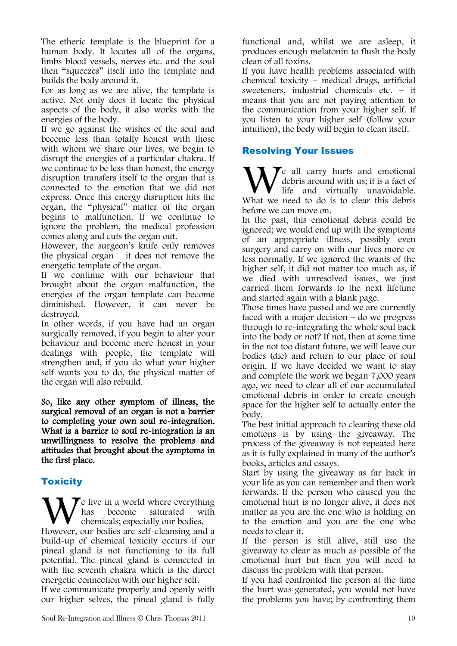The etheric template is the blueprint for a human body. It locates all of the organs, limbs blood vessels, nerves etc. and the soul then "squeezes" itself into the template and builds the body around it.

For as long as we are alive, the template is active. Not only does it locate the physical aspects of the body, it also works with the energies of the body.

If we go against the wishes of the soul and become less than totally honest with those with whom we share our lives, we begin to disrupt the energies of a particular chakra. If we continue to be less than honest, the energy disruption transfers itself to the organ that is connected to the emotion that we did not express. Once this energy disruption hits the organ, the "physical" matter of the organ begins to malfunction. If we continue to ignore the problem, the medical profession comes along and cuts the organ out.

However, the surgeon's knife only removes the physical organ  $-$  it does not remove the energetic template of the organ.

If we continue with our behaviour that brought about the organ malfunction, the energies of the organ template can become diminished. However, it can never be destroyed.

In other words, if you have had an organ surgically removed, if you begin to alter your behaviour and become more honest in your dealings with people, the template will strengthen and, if you do what your higher self wants you to do, the physical matter of the organ will also rebuild.

So, like any other symptom of illness, the surgical removal of an organ is not a barrier to completing your own soul re-integration. What is a barrier to soul re-integration is an unwillingness to resolve the problems and attitudes that brought about the symptoms in the first place.

## **Toxicity**

 $\blacktriangleright$  e live in a world where everything has become saturated with chemicals; especially our bodies. We live in a world where everything<br>has become saturated with<br>chemicals; especially our bodies.<br>However, our bodies are self-cleansing and a build-up of chemical toxicity occurs if our pineal gland is not functioning to its full potential. The pineal gland is connected in with the seventh chakra which is the direct energetic connection with our higher self.

If we communicate properly and openly with our higher selves, the pineal gland is fully If you have health problems associated with chemical toxicity – medical drugs, artificial sweeteners, industrial chemicals etc. – it means that you are not paying attention to the communication from your higher self. If you listen to your higher self (follow your intuition), the body will begin to clean itself.

## Resolving Your Issues

 $\mathbf{\Sigma}$  all carry hurts and emotional debris around with us; it is a fact of life and virtually unavoidable. We all carry hurts and emotional debris around with us; it is a fact of life and virtually unavoidable. What we need to do is to clear this debris before we can move on.

In the past, this emotional debris could be ignored; we would end up with the symptoms of an appropriate illness, possibly even surgery and carry on with our lives more or less normally. If we ignored the wants of the higher self, it did not matter too much as, if we died with unresolved issues, we just carried them forwards to the next lifetime and started again with a blank page.

Those times have passed and we are currently faced with a major decision – do we progress through to re-integrating the whole soul back into the body or not? If not, then at some time in the not too distant future, we will leave our bodies (die) and return to our place of soul origin. If we have decided we want to stay and complete the work we began 7,000 years ago, we need to clear all of our accumulated emotional debris in order to create enough space for the higher self to actually enter the body.

The best initial approach to clearing these old emotions is by using the giveaway. The process of the giveaway is not repeated here as it is fully explained in many of the author's books, articles and essays.

Start by using the giveaway as far back in your life as you can remember and then work forwards. If the person who caused you the emotional hurt is no longer alive, it does not matter as you are the one who is holding on to the emotion and you are the one who needs to clear it.

If the person is still alive, still use the giveaway to clear as much as possible of the emotional hurt but then you will need to discuss the problem with that person.

If you had confronted the person at the time the hurt was generated, you would not have the problems you have; by confronting them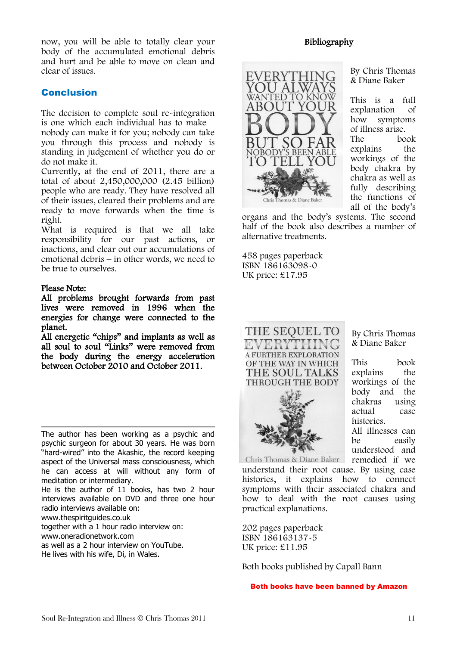now, you will be able to totally clear your body of the accumulated emotional debris and hurt and be able to move on clean and clear of issues.

## Conclusion

The decision to complete soul re-integration is one which each individual has to make – nobody can make it for you; nobody can take you through this process and nobody is standing in judgement of whether you do or do not make it.

Currently, at the end of 2011, there are a total of about 2,450,000,000 (2.45 billion) people who are ready. They have resolved all of their issues, cleared their problems and are ready to move forwards when the time is right.

What is required is that we all take responsibility for our past actions, or inactions, and clear out our accumulations of emotional debris – in other words, we need to be true to ourselves.

#### Please Note:

All problems brought forwards from past lives were removed in 1996 when the energies for change were connected to the planet.

All energetic "chips" and implants as well as all soul to soul "Links" were removed from the body during the energy acceleration between October 2010 and October 2011.

The author has been working as a psychic and psychic surgeon for about 30 years. He was born "hard-wired" into the Akashic, the record keeping aspect of the Universal mass consciousness, which he can access at will without any form of meditation or intermediary.

He is the author of 11 books, has two 2 hour interviews available on DVD and three one hour radio interviews available on:

www.thespiritguides.co.uk

together with a 1 hour radio interview on:

www.oneradionetwork.com

as well as a 2 hour interview on YouTube.

He lives with his wife, Di, in Wales.

Bibliography



By Chris Thomas & Diane Baker

This is a full explanation of how symptoms of illness arise. The book explains the workings of the body chakra by chakra as well as fully describing the functions of all of the body's

organs and the body's systems. The second half of the book also describes a number of alternative treatments.

458 pages paperback ISBN 186163098-0 UK price: £17.95





By Chris Thomas & Diane Baker

This book explains the workings of the body and the chakras using actual case histories. All illnesses can be easily understood and

Chris Thomas & Diane Baker remedied if we understand their root cause. By using case histories, it explains how to connect symptoms with their associated chakra and how to deal with the root causes using practical explanations.

202 pages paperback ISBN 186163137-5 UK price: £11.95

Both books published by Capall Bann

Both books have been banned by Amazon